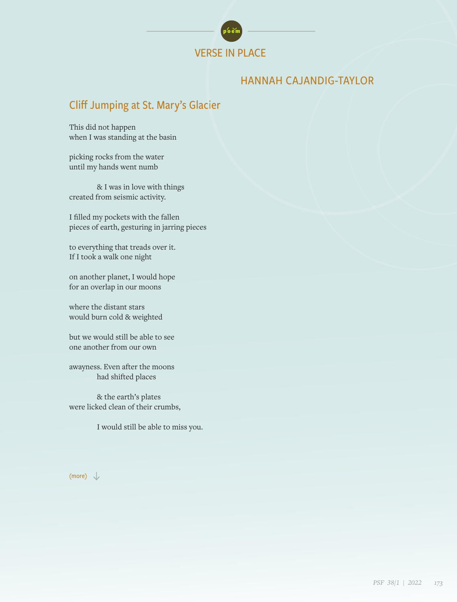

## HANNAH CAJANDIG-TAYLOR

# Cliff Jumping at St. Mary's Glacier

This did not happen when I was standing at the basin

picking rocks from the water until my hands went numb

& I was in love with things created from seismic activity.

I filled my pockets with the fallen pieces of earth, gesturing in jarring pieces

to everything that treads over it. If I took a walk one night

on another planet, I would hope for an overlap in our moons

where the distant stars would burn cold & weighted

but we would still be able to see one another from our own

awayness. Even after the moons had shifted places

& the earth's plates were licked clean of their crumbs,

I would still be able to miss you.

#### (more)  $\downarrow$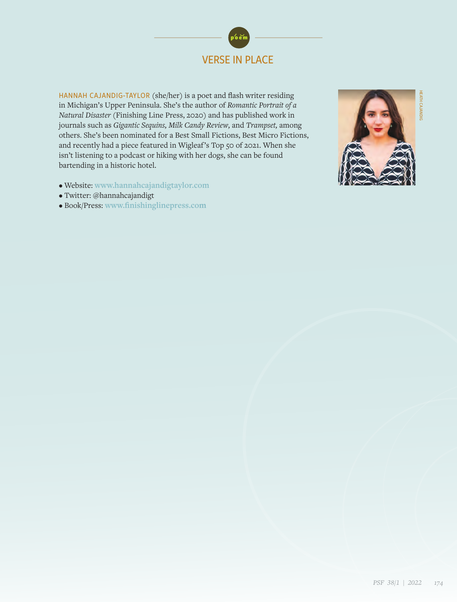

HANNAH CAJANDIG-TAYLOR (she/her) is a poet and flash writer residing in Michigan's Upper Peninsula. She's the author of *Romantic Portrait of a Natural Disaster* (Finishing Line Press, 2020) and has published work in journals such as *Gigantic Sequins, Milk Candy Review,* and *Trampset,* among others. She's been nominated for a Best Small Fictions, Best Micro Fictions, and recently had a piece featured in Wigleaf's Top 50 of 2021. When she isn't listening to a podcast or hiking with her dogs, she can be found bartending in a historic hotel.

- Website: **[www.hannahcajandigtaylor.com](https://www.hannahcajandigtaylor.com/)**
- Twitter: @hannahcajandigt
- Book/Press: **[www.finishinglinepress.co](https://www.finishinglinepress.com/)m**